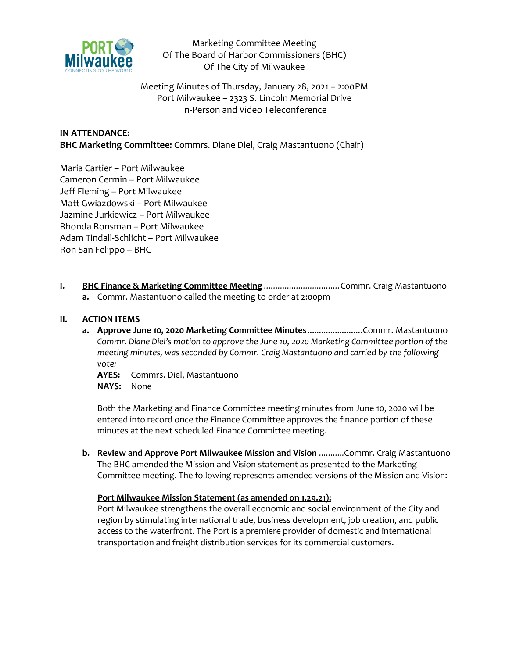

Marketing Committee Meeting Of The Board of Harbor Commissioners (BHC) Of The City of Milwaukee

Meeting Minutes of Thursday, January 28, 2021 – 2:00PM Port Milwaukee – 2323 S. Lincoln Memorial Drive In-Person and Video Teleconference

# **IN ATTENDANCE:**

**BHC Marketing Committee:** Commrs. Diane Diel, Craig Mastantuono (Chair)

Maria Cartier – Port Milwaukee Cameron Cermin – Port Milwaukee Jeff Fleming – Port Milwaukee Matt Gwiazdowski – Port Milwaukee Jazmine Jurkiewicz – Port Milwaukee Rhonda Ronsman – Port Milwaukee Adam Tindall-Schlicht – Port Milwaukee Ron San Felippo – BHC

**I. BHC Finance & Marketing Committee Meeting** ................................Commr. Craig Mastantuono **a.** Commr. Mastantuono called the meeting to order at 2:00pm

#### **II. ACTION ITEMS**

**a. Approve June 10, 2020 Marketing Committee Minutes**........................Commr. Mastantuono *Commr. Diane Diel's motion to approve the June 10, 2020 Marketing Committee portion of the meeting minutes, was seconded by Commr. Craig Mastantuono and carried by the following vote:*

**AYES:** Commrs. Diel, Mastantuono **NAYS:** None

Both the Marketing and Finance Committee meeting minutes from June 10, 2020 will be entered into record once the Finance Committee approves the finance portion of these minutes at the next scheduled Finance Committee meeting.

**b. Review and Approve Port Milwaukee Mission and Vision** ...........Commr. Craig Mastantuono The BHC amended the Mission and Vision statement as presented to the Marketing Committee meeting. The following represents amended versions of the Mission and Vision:

## **Port Milwaukee Mission Statement (as amended on 1.29.21):**

Port Milwaukee strengthens the overall economic and social environment of the City and region by stimulating international trade, business development, job creation, and public access to the waterfront. The Port is a premiere provider of domestic and international transportation and freight distribution services for its commercial customers.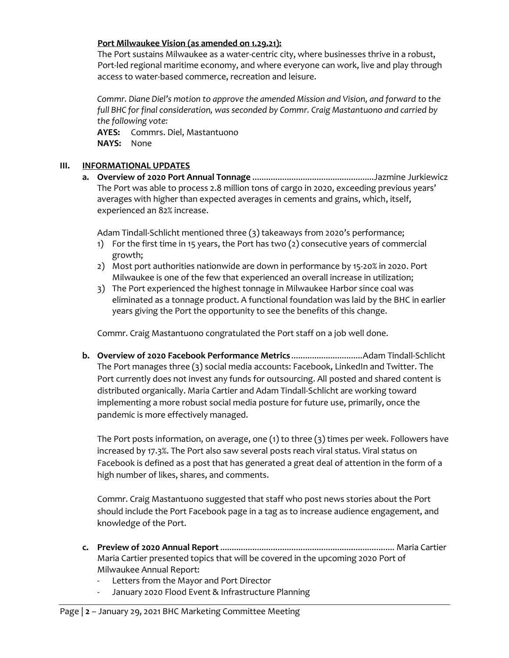## **Port Milwaukee Vision (as amended on 1.29.21):**

The Port sustains Milwaukee as a water-centric city, where businesses thrive in a robust, Port-led regional maritime economy, and where everyone can work, live and play through access to water-based commerce, recreation and leisure.

*Commr. Diane Diel's motion to approve the amended Mission and Vision, and forward to the full BHC for final consideration, was seconded by Commr. Craig Mastantuono and carried by the following vote:*

**AYES:** Commrs. Diel, Mastantuono **NAYS:** None

### **III. INFORMATIONAL UPDATES**

**a. Overview of 2020 Port Annual Tonnage** .....................................................Jazmine Jurkiewicz The Port was able to process 2.8 million tons of cargo in 2020, exceeding previous years' averages with higher than expected averages in cements and grains, which, itself, experienced an 82% increase.

Adam Tindall-Schlicht mentioned three (3) takeaways from 2020's performance;

- 1) For the first time in 15 years, the Port has two (2) consecutive years of commercial growth;
- 2) Most port authorities nationwide are down in performance by 15-20% in 2020. Port Milwaukee is one of the few that experienced an overall increase in utilization;
- 3) The Port experienced the highest tonnage in Milwaukee Harbor since coal was eliminated as a tonnage product. A functional foundation was laid by the BHC in earlier years giving the Port the opportunity to see the benefits of this change.

Commr. Craig Mastantuono congratulated the Port staff on a job well done.

**b. Overview of 2020 Facebook Performance Metrics** ...............................Adam Tindall-Schlicht The Port manages three (3) social media accounts: Facebook, LinkedIn and Twitter. The Port currently does not invest any funds for outsourcing. All posted and shared content is distributed organically. Maria Cartier and Adam Tindall-Schlicht are working toward implementing a more robust social media posture for future use, primarily, once the pandemic is more effectively managed.

The Port posts information, on average, one (1) to three (3) times per week. Followers have increased by 17.3%. The Port also saw several posts reach viral status. Viral status on Facebook is defined as a post that has generated a great deal of attention in the form of a high number of likes, shares, and comments.

Commr. Craig Mastantuono suggested that staff who post news stories about the Port should include the Port Facebook page in a tag as to increase audience engagement, and knowledge of the Port.

- **c. Preview of 2020 Annual Report**............................................................................ Maria Cartier Maria Cartier presented topics that will be covered in the upcoming 2020 Port of Milwaukee Annual Report:
	- Letters from the Mayor and Port Director
	- January 2020 Flood Event & Infrastructure Planning